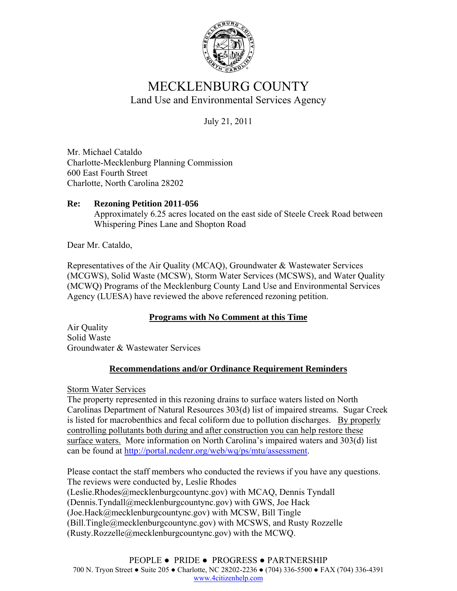

## MECKLENBURG COUNTY Land Use and Environmental Services Agency

July 21, 2011

Mr. Michael Cataldo Charlotte-Mecklenburg Planning Commission 600 East Fourth Street Charlotte, North Carolina 28202

## **Re: Rezoning Petition 2011-056**  Approximately 6.25 acres located on the east side of Steele Creek Road between Whispering Pines Lane and Shopton Road

Dear Mr. Cataldo,

Representatives of the Air Quality (MCAQ), Groundwater & Wastewater Services (MCGWS), Solid Waste (MCSW), Storm Water Services (MCSWS), and Water Quality (MCWQ) Programs of the Mecklenburg County Land Use and Environmental Services Agency (LUESA) have reviewed the above referenced rezoning petition.

## **Programs with No Comment at this Time**

Air Quality Solid Waste Groundwater & Wastewater Services

## **Recommendations and/or Ordinance Requirement Reminders**

Storm Water Services

The property represented in this rezoning drains to surface waters listed on North Carolinas Department of Natural Resources 303(d) list of impaired streams. Sugar Creek is listed for macrobenthics and fecal coliform due to pollution discharges. By properly controlling pollutants both during and after construction you can help restore these surface waters. More information on North Carolina's impaired waters and 303(d) list can be found at http://portal.ncdenr.org/web/wq/ps/mtu/assessment.

Please contact the staff members who conducted the reviews if you have any questions. The reviews were conducted by, Leslie Rhodes (Leslie.Rhodes@mecklenburgcountync.gov) with MCAQ, Dennis Tyndall (Dennis.Tyndall@mecklenburgcountync.gov) with GWS, Joe Hack (Joe.Hack@mecklenburgcountync.gov) with MCSW, Bill Tingle (Bill.Tingle@mecklenburgcountync.gov) with MCSWS, and Rusty Rozzelle (Rusty.Rozzelle@mecklenburgcountync.gov) with the MCWQ.